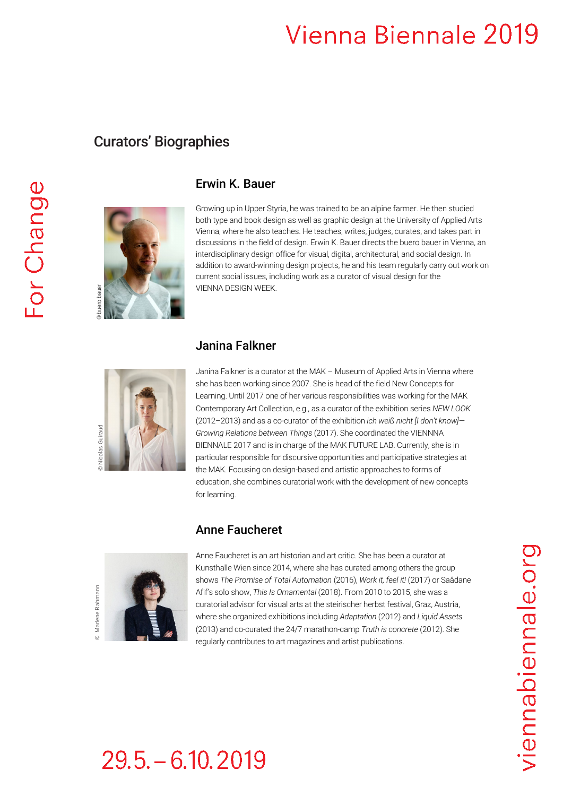# Vienna Biennale 2019

# Curators' Biographies



## Erwin K. Bauer

Growing up in Upper Styria, he was trained to be an alpine farmer. He then studied both type and book design as well as graphic design at the University of Applied Arts Vienna, where he also teaches. He teaches, writes, judges, curates, and takes part in discussions in the field of design. Erwin K. Bauer directs the buero bauer in Vienna, an interdisciplinary design office for visual, digital, architectural, and social design. In addition to award-winning design projects, he and his team regularly carry out work on current social issues, including work as a curator of visual design for the VIENNA DESIGN WEEK.

### Janina Falkner



Janina Falkner is a curator at the MAK – Museum of Applied Arts in Vienna where she has been working since 2007. She is head of the field New Concepts for Learning. Until 2017 one of her various responsibilities was working for the MAK Contemporary Art Collection, e.g., as a curator of the exhibition series *NEW LOOK* (2012–2013) and as a co-curator of the exhibition *ich weiß nicht [I don't know]— Growing Relations between Things* (2017). She coordinated the VIENNNA BIENNALE 2017 and is in charge of the MAK FUTURE LAB. Currently, she is in particular responsible for discursive opportunities and participative strategies at the MAK. Focusing on design-based and artistic approaches to forms of education, she combines curatorial work with the development of new concepts for learning. VIENNA DESIGN WEEK<br>
Janina Falkher is a curator at the MAK – Museum of Applied<br>
she has been working since 2007. She is head of the field Ne<br>
Learning, Until 2017 one of the relation is regular to the exhibition is well a

### Anne Faucheret



Anne Faucheret is an art historian and art critic. She has been a curator at Kunsthalle Wien since 2014, where she has curated among others the group shows *The Promise of Total Automation* (2016), *Work it, feel it!* (2017) or Saâdane Afif's solo show, *This Is Ornamental* (2018). From 2010 to 2015, she was a curatorial advisor for visual arts at the steirischer herbst festival, Graz, Austria, where she organized exhibitions including *Adaptation* (2012) and *Liquid Assets* (2013) and co-curated the 24/7 marathon-camp *Truth is concrete* (2012). She

# viennabiennale.org

# $29.5 - 6.10, 2019$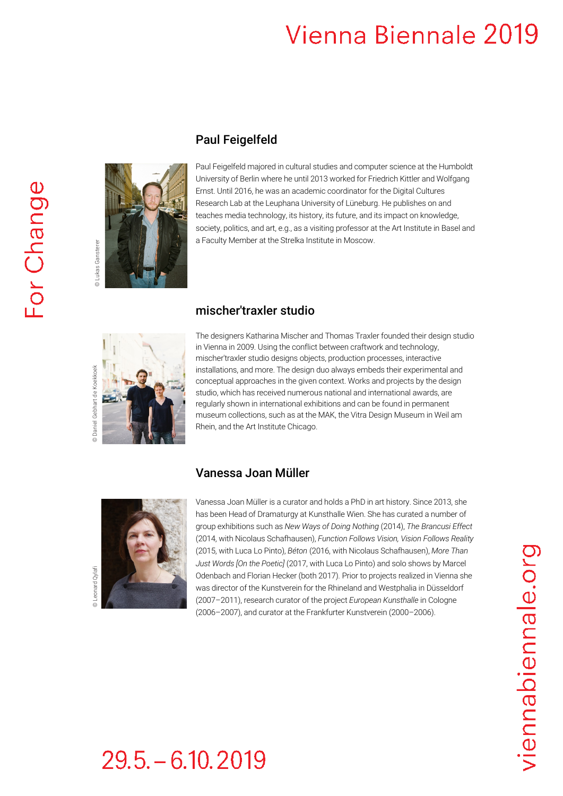# Vienna Biennale 2019



# Paul Feigelfeld

Paul Feigelfeld majored in cultural studies and computer science at the Humboldt University of Berlin where he until 2013 worked for Friedrich Kittler and Wolfgang Ernst. Until 2016, he was an academic coordinator for the Digital Cultures Research Lab at the Leuphana University of Lüneburg. He publishes on and teaches media technology, its history, its future, and its impact on knowledge, society, politics, and art, e.g., as a visiting professor at the Art Institute in Basel and a Faculty Member at the Strelka Institute in Moscow.





The designers Katharina Mischer and Thomas Traxler founded their design studio in Vienna in 2009. Using the conflict between craftwork and technology, mischer′traxler studio designs objects, production processes, interactive installations, and more. The design duo always embeds their experimental and conceptual approaches in the given context. Works and projects by the design studio, which has received numerous national and international awards, are regularly shown in international exhibitions and can be found in permanent museum collections, such as at the MAK, the Vitra Design Museum in Weil am Rhein, and the Art Institute Chicago.

### Vanessa Joan Müller



Vanessa Joan Müller is a curator and holds a PhD in art history. Since 2013, she has been Head of Dramaturgy at Kunsthalle Wien. She has curated a number of group exhibitions such as *New Ways of Doing Nothing* (2014), *The Brancusi Effect* (2014, with Nicolaus Schafhausen), *Function Follows Vision, Vision Follows Reality* (2015, with Luca Lo Pinto), *Béton* (2016, with Nicolaus Schafhausen), *More Than Just Words [On the Poetic]* (2017, with Luca Lo Pinto) and solo shows by Marcel Odenbach and Florian Hecker (both 2017). Prior to projects realized in Vienna she was director of the Kunstverein for the Rhineland and Westphalia in Düsseldorf (2007–2011), research curator of the project *European Kunsthalle* in Cologne (2006–2007), and curator at the Frankfurter Kunstverein (2000–2006).

# $29.5 - 6.10.2019$